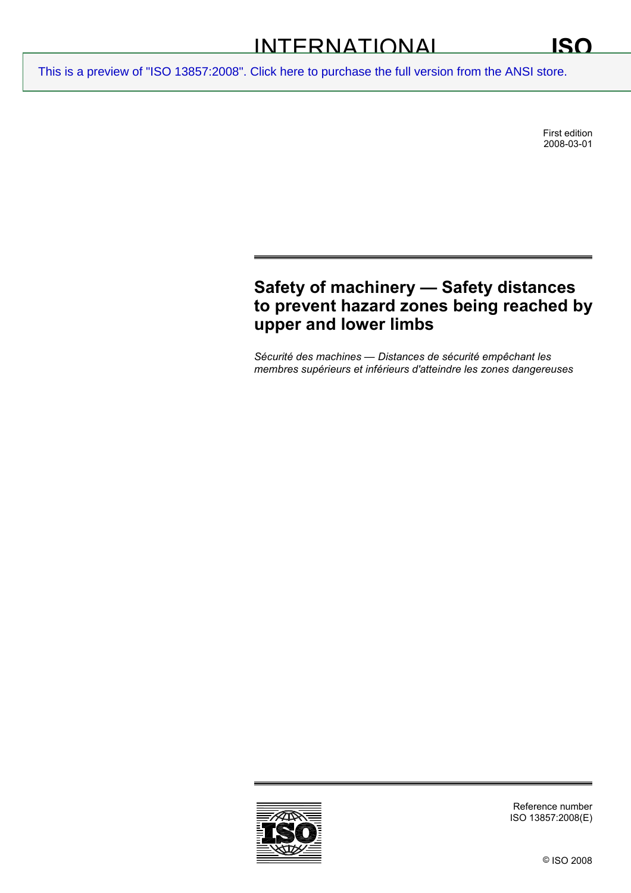First edition 2008-03-01

# **Safety of machinery — Safety distances to prevent hazard zones being reached by upper and lower limbs**

*Sécurité des machines — Distances de sécurité empêchant les membres supérieurs et inférieurs d'atteindre les zones dangereuses* 

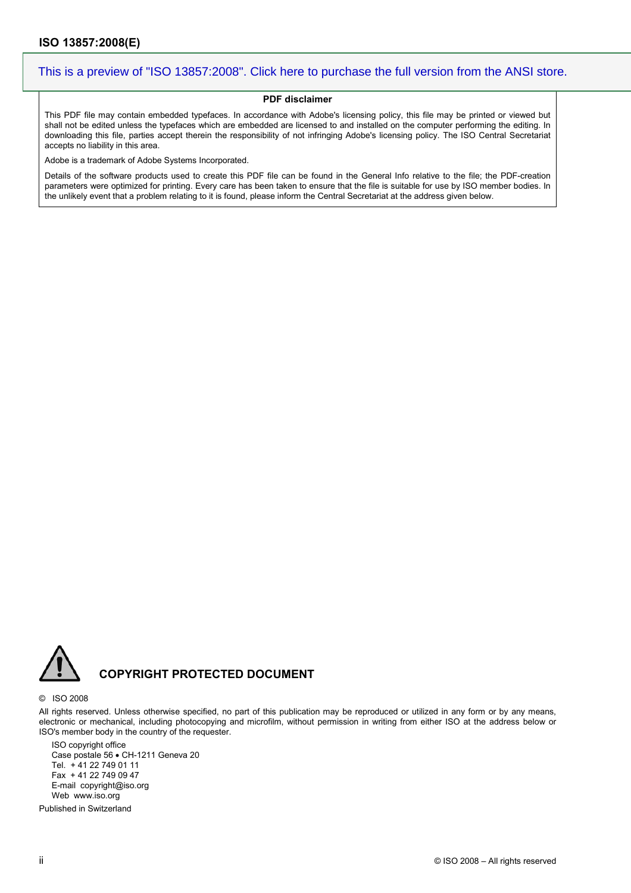#### **PDF disclaimer**

This PDF file may contain embedded typefaces. In accordance with Adobe's licensing policy, this file may be printed or viewed but shall not be edited unless the typefaces which are embedded are licensed to and installed on the computer performing the editing. In downloading this file, parties accept therein the responsibility of not infringing Adobe's licensing policy. The ISO Central Secretariat accepts no liability in this area.

Adobe is a trademark of Adobe Systems Incorporated.

Details of the software products used to create this PDF file can be found in the General Info relative to the file; the PDF-creation parameters were optimized for printing. Every care has been taken to ensure that the file is suitable for use by ISO member bodies. In the unlikely event that a problem relating to it is found, please inform the Central Secretariat at the address given below.



## **COPYRIGHT PROTECTED DOCUMENT**

#### © ISO 2008

All rights reserved. Unless otherwise specified, no part of this publication may be reproduced or utilized in any form or by any means, electronic or mechanical, including photocopying and microfilm, without permission in writing from either ISO at the address below or ISO's member body in the country of the requester.

ISO copyright office Case postale 56 • CH-1211 Geneva 20 Tel. + 41 22 749 01 11 Fax + 41 22 749 09 47 E-mail copyright@iso.org Web www.iso.org

Published in Switzerland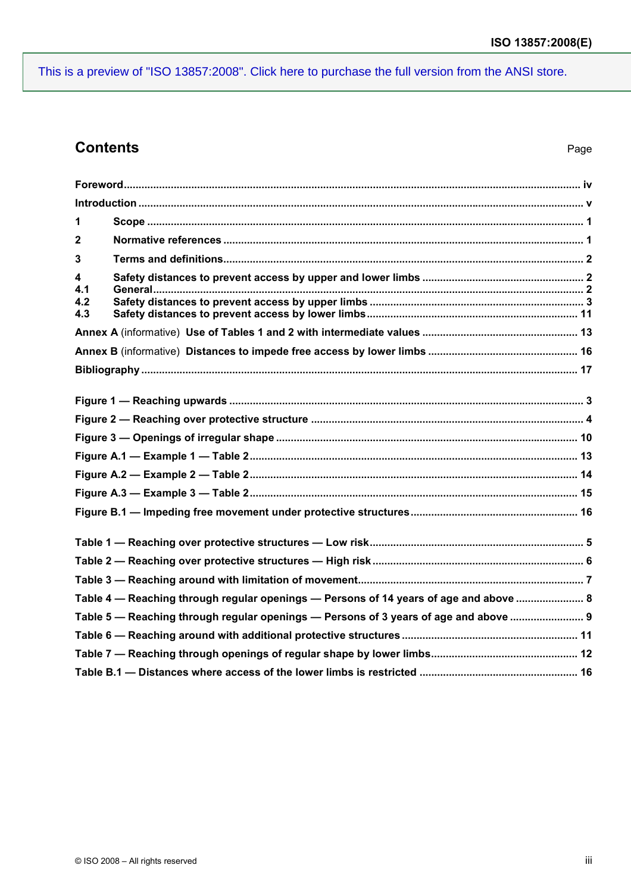## **Contents** Page

| 1                      |                                                                                       |
|------------------------|---------------------------------------------------------------------------------------|
| $\mathbf{2}$           |                                                                                       |
| 3                      |                                                                                       |
| 4<br>4.1<br>4.2<br>4.3 |                                                                                       |
|                        |                                                                                       |
|                        |                                                                                       |
|                        |                                                                                       |
|                        |                                                                                       |
|                        |                                                                                       |
|                        |                                                                                       |
|                        |                                                                                       |
|                        |                                                                                       |
|                        |                                                                                       |
|                        |                                                                                       |
|                        |                                                                                       |
|                        |                                                                                       |
|                        |                                                                                       |
|                        |                                                                                       |
|                        | Table 4 - Reaching through regular openings - Persons of 14 years of age and above  8 |
|                        | Table 5 — Reaching through regular openings — Persons of 3 years of age and above  9  |
|                        |                                                                                       |
|                        |                                                                                       |
|                        |                                                                                       |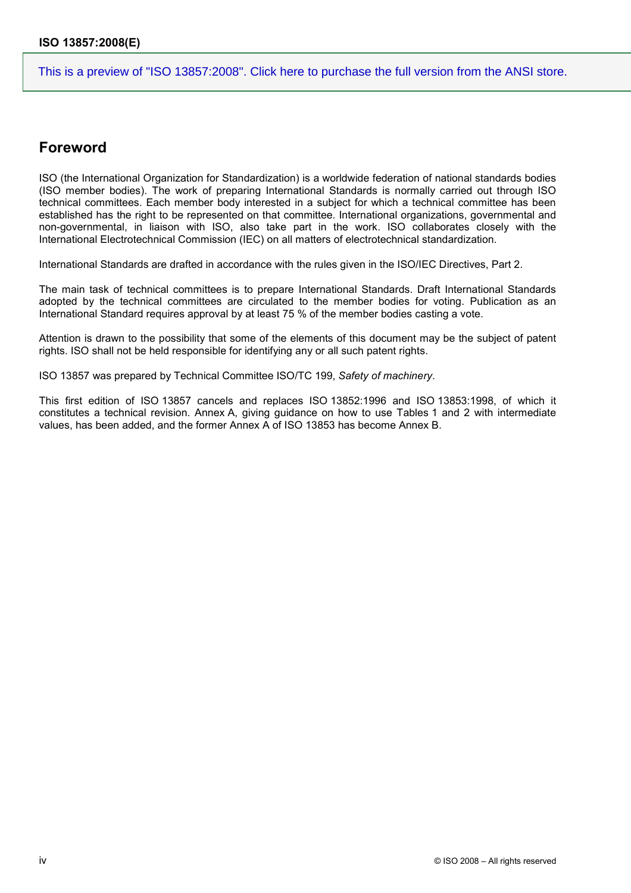## **Foreword**

ISO (the International Organization for Standardization) is a worldwide federation of national standards bodies (ISO member bodies). The work of preparing International Standards is normally carried out through ISO technical committees. Each member body interested in a subject for which a technical committee has been established has the right to be represented on that committee. International organizations, governmental and non-governmental, in liaison with ISO, also take part in the work. ISO collaborates closely with the International Electrotechnical Commission (IEC) on all matters of electrotechnical standardization.

International Standards are drafted in accordance with the rules given in the ISO/IEC Directives, Part 2.

The main task of technical committees is to prepare International Standards. Draft International Standards adopted by the technical committees are circulated to the member bodies for voting. Publication as an International Standard requires approval by at least 75 % of the member bodies casting a vote.

Attention is drawn to the possibility that some of the elements of this document may be the subject of patent rights. ISO shall not be held responsible for identifying any or all such patent rights.

ISO 13857 was prepared by Technical Committee ISO/TC 199, *Safety of machinery*.

This first edition of ISO 13857 cancels and replaces ISO 13852:1996 and ISO 13853:1998, of which it constitutes a technical revision. Annex A, giving guidance on how to use Tables 1 and 2 with intermediate values, has been added, and the former Annex A of ISO 13853 has become Annex B.